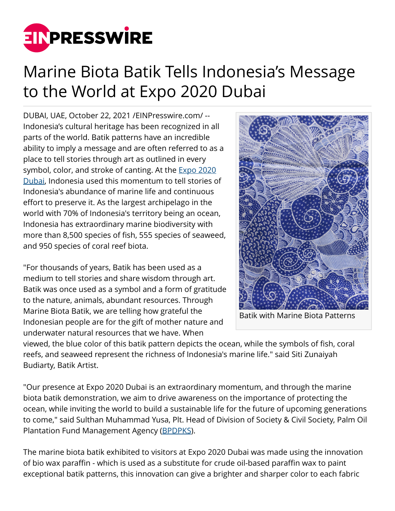

## Marine Biota Batik Tells Indonesia's Message to the World at Expo 2020 Dubai

DUBAI, UAE, October 22, 2021 [/EINPresswire.com](http://www.einpresswire.com)/ -- Indonesia's cultural heritage has been recognized in all parts of the world. Batik patterns have an incredible ability to imply a message and are often referred to as a place to tell stories through art as outlined in every symbol, color, and stroke of canting. At the **[Expo 2020](https://expo2020indonesia.id/)** [Dubai](https://expo2020indonesia.id/), Indonesia used this momentum to tell stories of Indonesia's abundance of marine life and continuous effort to preserve it. As the largest archipelago in the world with 70% of Indonesia's territory being an ocean, Indonesia has extraordinary marine biodiversity with more than 8,500 species of fish, 555 species of seaweed, and 950 species of coral reef biota.

"For thousands of years, Batik has been used as a medium to tell stories and share wisdom through art. Batik was once used as a symbol and a form of gratitude to the nature, animals, abundant resources. Through Marine Biota Batik, we are telling how grateful the Indonesian people are for the gift of mother nature and underwater natural resources that we have. When



Batik with Marine Biota Patterns

viewed, the blue color of this batik pattern depicts the ocean, while the symbols of fish, coral reefs, and seaweed represent the richness of Indonesia's marine life." said Siti Zunaiyah Budiarty, Batik Artist.

"Our presence at Expo 2020 Dubai is an extraordinary momentum, and through the marine biota batik demonstration, we aim to drive awareness on the importance of protecting the ocean, while inviting the world to build a sustainable life for the future of upcoming generations to come," said Sulthan Muhammad Yusa, Plt. Head of Division of Society & Civil Society, Palm Oil Plantation Fund Management Agency ([BPDPKS](https://www.bpdp.or.id/)).

The marine biota batik exhibited to visitors at Expo 2020 Dubai was made using the innovation of bio wax paraffin - which is used as a substitute for crude oil-based paraffin wax to paint exceptional batik patterns, this innovation can give a brighter and sharper color to each fabric